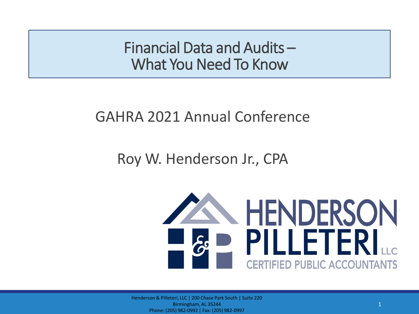Financial Data and Audits – What You Need To Know

#### GAHRA 2021 Annual Conference

#### Roy W. Henderson Jr., CPA



Henderson & Pilleteri, LLC | 200 Chase Park South | Suite 220 Birmingham, AL 35244 Phone: (205) 982-0992 | Fax: (205) 982-0997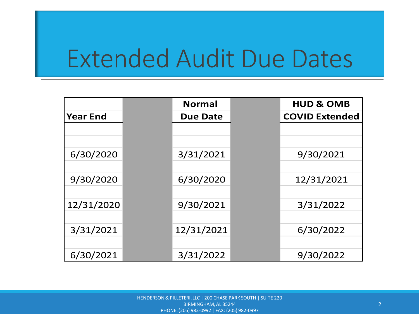## Extended Audit Due Dates

|                 | <b>Normal</b>   | <b>HUD &amp; OMB</b>  |
|-----------------|-----------------|-----------------------|
| <b>Year End</b> | <b>Due Date</b> | <b>COVID Extended</b> |
|                 |                 |                       |
|                 |                 |                       |
| 6/30/2020       | 3/31/2021       | 9/30/2021             |
|                 |                 |                       |
| 9/30/2020       | 6/30/2020       | 12/31/2021            |
|                 |                 |                       |
| 12/31/2020      | 9/30/2021       | 3/31/2022             |
|                 |                 |                       |
| 3/31/2021       | 12/31/2021      | 6/30/2022             |
|                 |                 |                       |
| 6/30/2021       | 3/31/2022       | 9/30/2022             |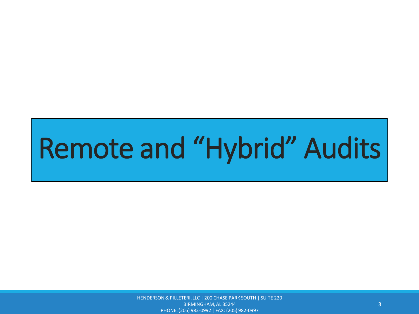HENDERSON & PILLETERI, LLC | 200 CHASE PARK SOUTH | SUITE 220 BIRMINGHAM, AL 35244 PHONE: (205) 982-0992 | FAX: (205) 982-0997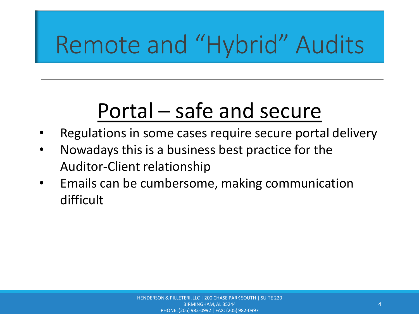### Portal – safe and secure

- Regulations in some cases require secure portal delivery
- Nowadays this is a business best practice for the Auditor-Client relationship
- Emails can be cumbersome, making communication difficult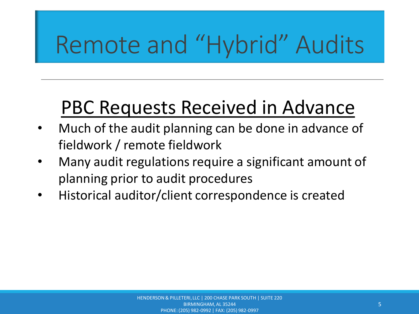#### PBC Requests Received in Advance

- Much of the audit planning can be done in advance of fieldwork / remote fieldwork
- Many audit regulations require a significant amount of planning prior to audit procedures
- Historical auditor/client correspondence is created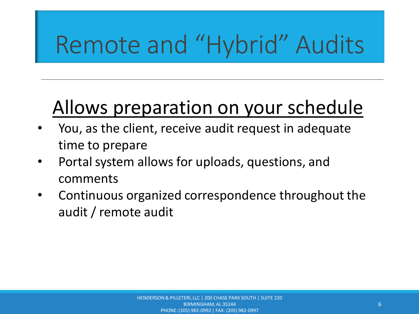#### Allows preparation on your schedule

- You, as the client, receive audit request in adequate time to prepare
- Portal system allows for uploads, questions, and comments
- Continuous organized correspondence throughout the audit / remote audit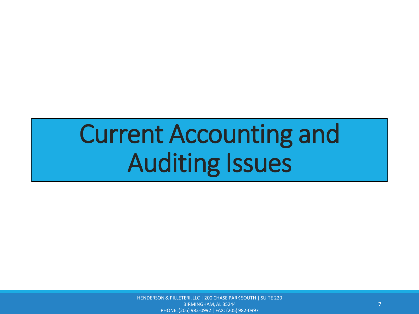HENDERSON & PILLETERI, LLC | 200 CHASE PARK SOUTH | SUITE 220 BIRMINGHAM, AL 35244 PHONE: (205) 982-0992 | FAX: (205) 982-0997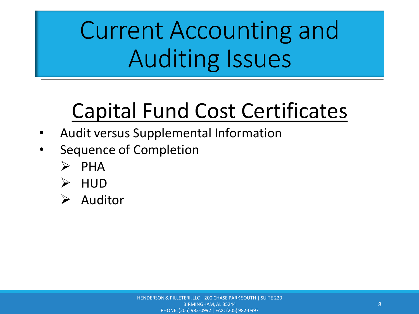### Capital Fund Cost Certificates

- Audit versus Supplemental Information
- Sequence of Completion
	- ➢ PHA
	- ➢ HUD
	- ➢ Auditor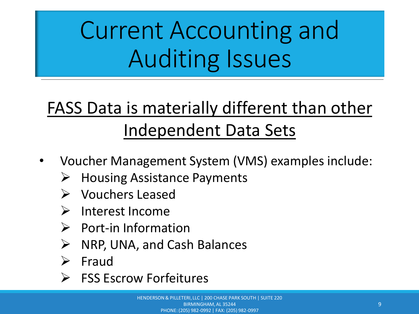#### FASS Data is materially different than other Independent Data Sets

- Voucher Management System (VMS) examples include:
	- $\triangleright$  Housing Assistance Payments
	- ➢ Vouchers Leased
	- ➢ Interest Income
	- ➢ Port-in Information
	- ➢ NRP, UNA, and Cash Balances
	- ➢ Fraud
	- ➢ FSS Escrow Forfeitures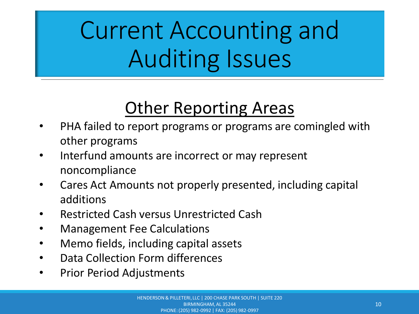#### Other Reporting Areas

- PHA failed to report programs or programs are comingled with other programs
- Interfund amounts are incorrect or may represent noncompliance
- Cares Act Amounts not properly presented, including capital additions
- Restricted Cash versus Unrestricted Cash
- Management Fee Calculations
- Memo fields, including capital assets
- Data Collection Form differences
- Prior Period Adjustments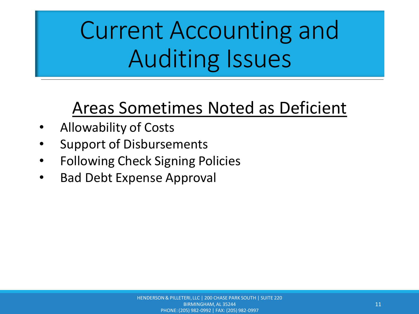#### Areas Sometimes Noted as Deficient

- Allowability of Costs
- Support of Disbursements
- Following Check Signing Policies
- Bad Debt Expense Approval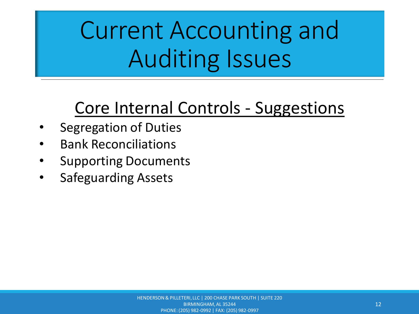#### Core Internal Controls - Suggestions

- Segregation of Duties
- Bank Reconciliations
- Supporting Documents
- Safeguarding Assets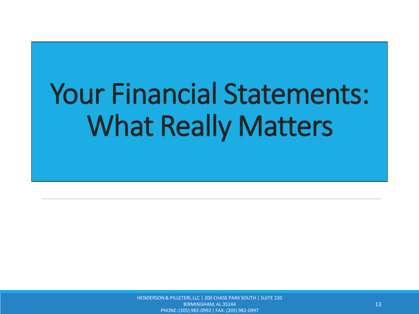HENDERSON & PILLETERI, LLC | 200 CHASE PARK SOUTH | SUITE 220 BIRMINGHAM, AL 35244 PHONE: (205) 982-0992 | FAX: (205) 982-0997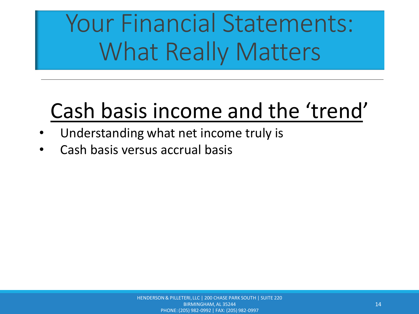### Cash basis income and the 'trend'

- Understanding what net income truly is
- Cash basis versus accrual basis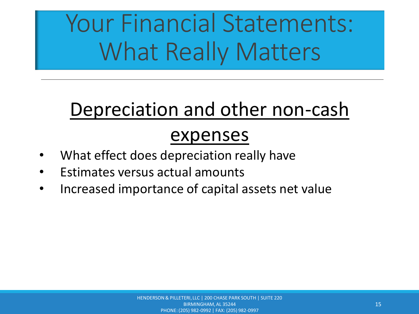#### Depreciation and other non-cash

#### expenses

- What effect does depreciation really have
- Estimates versus actual amounts
- Increased importance of capital assets net value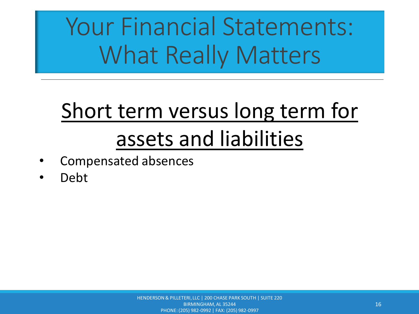## Short term versus long term for assets and liabilities

- Compensated absences
- Debt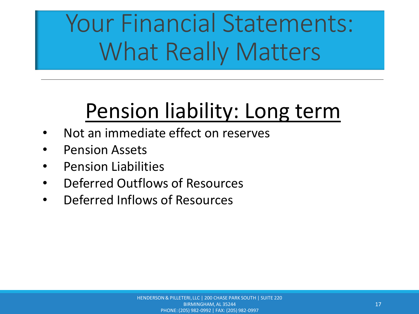### Pension liability: Long term

- Not an immediate effect on reserves
- Pension Assets
- Pension Liabilities
- Deferred Outflows of Resources
- Deferred Inflows of Resources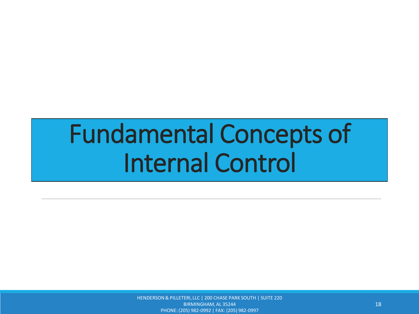## Fundamental Concepts of Internal Control

HENDERSON & PILLETERI, LLC | 200 CHASE PARK SOUTH | SUITE 220 BIRMINGHAM, AL 35244 PHONE: (205) 982-0992 | FAX: (205) 982-0997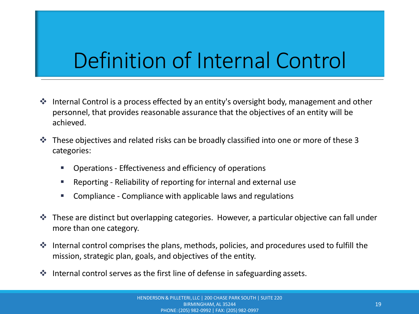### Definition of Internal Control

- ❖ Internal Control is a process effected by an entity's oversight body, management and other personnel, that provides reasonable assurance that the objectives of an entity will be achieved.
- ❖ These objectives and related risks can be broadly classified into one or more of these 3 categories:
	- Operations Effectiveness and efficiency of operations
	- Reporting Reliability of reporting for internal and external use
	- Compliance Compliance with applicable laws and regulations
- ❖ These are distinct but overlapping categories. However, a particular objective can fall under more than one category.
- ❖ Internal control comprises the plans, methods, policies, and procedures used to fulfill the mission, strategic plan, goals, and objectives of the entity.
- ❖ Internal control serves as the first line of defense in safeguarding assets.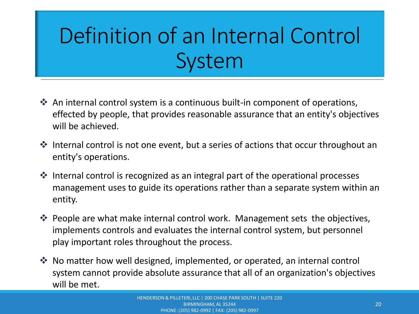## Definition of an Internal Control System

- ❖ An internal control system is a continuous built-in component of operations, effected by people, that provides reasonable assurance that an entity's objectives will be achieved.
- ❖ Internal control is not one event, but a series of actions that occur throughout an entity's operations.
- ❖ Internal control is recognized as an integral part of the operational processes management uses to guide its operations rather than a separate system within an entity.
- ❖ People are what make internal control work. Management sets the objectives, implements controls and evaluates the internal control system, but personnel play important roles throughout the process.
- ❖ No matter how well designed, implemented, or operated, an internal control system cannot provide absolute assurance that all of an organization's objectives will be met.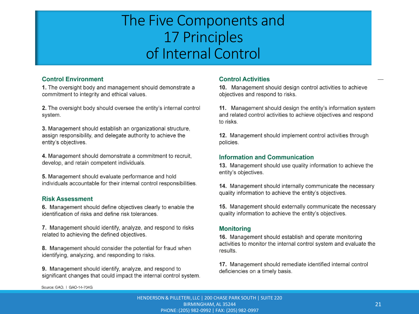#### The Five Components and 17 Principles of Internal Control

#### **Control Environment**

1. The oversight body and management should demonstrate a commitment to integrity and ethical values.

2. The oversight body should oversee the entity's internal control system.

3. Management should establish an organizational structure, assign responsibility, and delegate authority to achieve the entity's objectives.

4. Management should demonstrate a commitment to recruit, develop, and retain competent individuals.

5. Management should evaluate performance and hold individuals accountable for their internal control responsibilities.

#### **Risk Assessment**

6. Management should define objectives clearly to enable the identification of risks and define risk tolerances.

7. Management should identify, analyze, and respond to risks related to achieving the defined objectives.

8. Management should consider the potential for fraud when identifying, analyzing, and responding to risks.

9. Management should identify, analyze, and respond to significant changes that could impact the internal control system.

#### **Control Activities**

10. Management should design control activities to achieve objectives and respond to risks.

11. Management should design the entity's information system and related control activities to achieve objectives and respond to risks.

12. Management should implement control activities through policies.

#### **Information and Communication**

13. Management should use quality information to achieve the entity's objectives.

14. Management should internally communicate the necessary quality information to achieve the entity's objectives.

15. Management should externally communicate the necessary quality information to achieve the entity's objectives.

#### **Monitoring**

16. Management should establish and operate monitoring activities to monitor the internal control system and evaluate the results.

17. Management should remediate identified internal control deficiencies on a timely basis.

Source: GAO. | GAO-14-704G

HENDERSON & PILLETERI, LLC | 200 CHASE PARK SOUTH | SUITE 220 BIRMINGHAM, AL 35244 PHONE: (205) 982-0992 | FAX: (205) 982-0997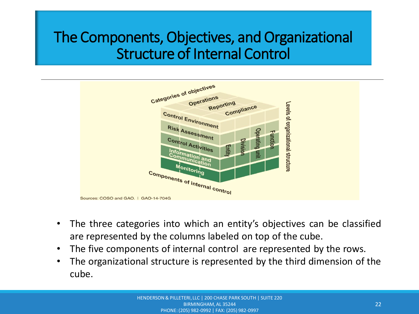#### The Components, Objectives, and Organizational Structure of Internal Control



- The three categories into which an entity's objectives can be classified are represented by the columns labeled on top of the cube.
- The five components of internal control are represented by the rows.
- The organizational structure is represented by the third dimension of the cube.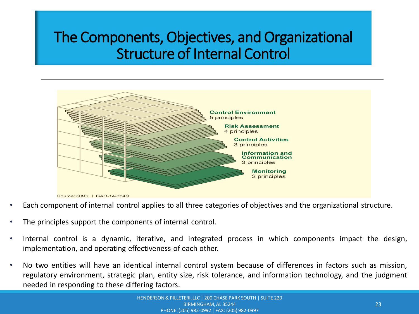#### The Components, Objectives, and Organizational Structure of Internal Control



Source: GAO. | GAO-14-704G

- Each component of internal control applies to all three categories of objectives and the organizational structure.
- The principles support the components of internal control.
- Internal control is a dynamic, iterative, and integrated process in which components impact the design, implementation, and operating effectiveness of each other.
- No two entities will have an identical internal control system because of differences in factors such as mission, regulatory environment, strategic plan, entity size, risk tolerance, and information technology, and the judgment needed in responding to these differing factors.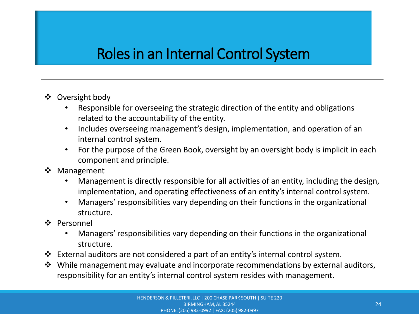#### Roles in an Internal Control System

- ❖ Oversight body
	- Responsible for overseeing the strategic direction of the entity and obligations related to the accountability of the entity.
	- Includes overseeing management's design, implementation, and operation of an internal control system.
	- For the purpose of the Green Book, oversight by an oversight body is implicit in each component and principle.
- ❖ Management
	- Management is directly responsible for all activities of an entity, including the design, implementation, and operating effectiveness of an entity's internal control system.
	- Managers' responsibilities vary depending on their functions in the organizational structure.
- ❖ Personnel
	- Managers' responsibilities vary depending on their functions in the organizational structure.
- ❖ External auditors are not considered a part of an entity's internal control system.
- ❖ While management may evaluate and incorporate recommendations by external auditors, responsibility for an entity's internal control system resides with management.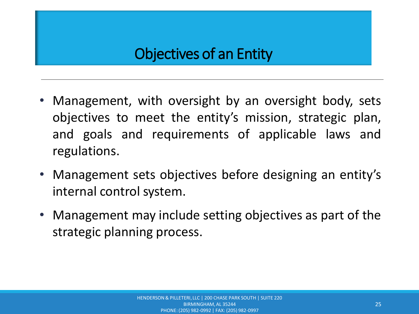#### Objectives of an Entity

- Management, with oversight by an oversight body, sets objectives to meet the entity's mission, strategic plan, and goals and requirements of applicable laws and regulations.
- Management sets objectives before designing an entity's internal control system.
- Management may include setting objectives as part of the strategic planning process.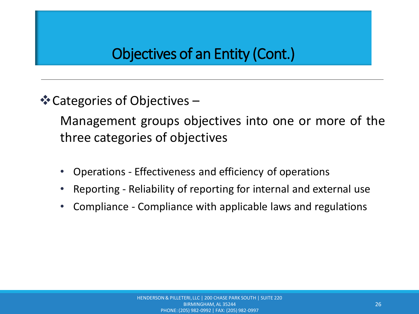❖Categories of Objectives –

Management groups objectives into one or more of the three categories of objectives

- Operations Effectiveness and efficiency of operations
- Reporting Reliability of reporting for internal and external use
- Compliance Compliance with applicable laws and regulations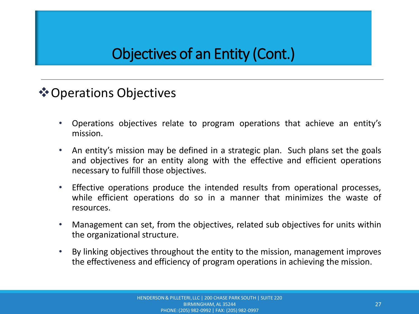#### ❖Operations Objectives

- Operations objectives relate to program operations that achieve an entity's mission.
- An entity's mission may be defined in a strategic plan. Such plans set the goals and objectives for an entity along with the effective and efficient operations necessary to fulfill those objectives.
- Effective operations produce the intended results from operational processes, while efficient operations do so in a manner that minimizes the waste of resources.
- Management can set, from the objectives, related sub objectives for units within the organizational structure.
- By linking objectives throughout the entity to the mission, management improves the effectiveness and efficiency of program operations in achieving the mission.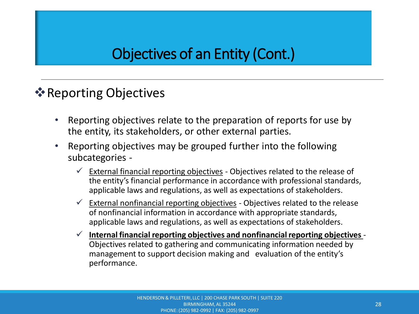#### **❖ Reporting Objectives**

- Reporting objectives relate to the preparation of reports for use by the entity, its stakeholders, or other external parties.
- Reporting objectives may be grouped further into the following subcategories -
	- $\checkmark$  External financial reporting objectives Objectives related to the release of the entity's financial performance in accordance with professional standards, applicable laws and regulations, as well as expectations of stakeholders.
	- $\checkmark$  External nonfinancial reporting objectives Objectives related to the release of nonfinancial information in accordance with appropriate standards, applicable laws and regulations, as well as expectations of stakeholders.
	- ✓ **Internal financial reporting objectives and nonfinancial reporting objectives** Objectives related to gathering and communicating information needed by management to support decision making and evaluation of the entity's performance.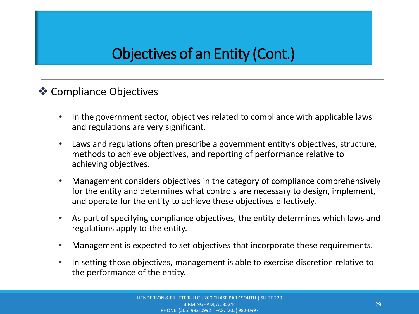#### ❖ Compliance Objectives

- In the government sector, objectives related to compliance with applicable laws and regulations are very significant.
- Laws and regulations often prescribe a government entity's objectives, structure, methods to achieve objectives, and reporting of performance relative to achieving objectives.
- Management considers objectives in the category of compliance comprehensively for the entity and determines what controls are necessary to design, implement, and operate for the entity to achieve these objectives effectively.
- As part of specifying compliance objectives, the entity determines which laws and regulations apply to the entity.
- Management is expected to set objectives that incorporate these requirements.
- In setting those objectives, management is able to exercise discretion relative to the performance of the entity.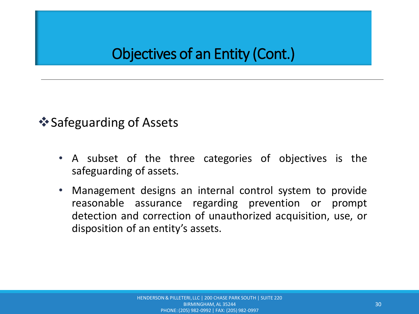#### ❖Safeguarding of Assets

- A subset of the three categories of objectives is the safeguarding of assets.
- Management designs an internal control system to provide reasonable assurance regarding prevention or prompt detection and correction of unauthorized acquisition, use, or disposition of an entity's assets.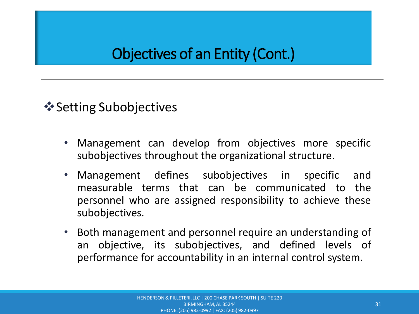❖Setting Subobjectives

- Management can develop from objectives more specific subobjectives throughout the organizational structure.
- Management defines subobjectives in specific and measurable terms that can be communicated to the personnel who are assigned responsibility to achieve these subobjectives.
- Both management and personnel require an understanding of an objective, its subobjectives, and defined levels of performance for accountability in an internal control system.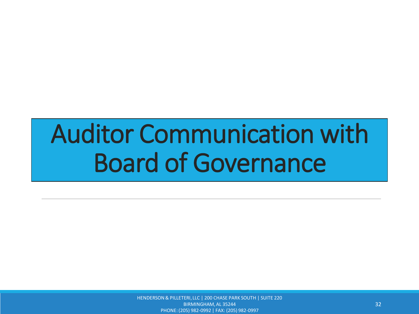## Auditor Communication with Board of Governance

HENDERSON & PILLETERI, LLC | 200 CHASE PARK SOUTH | SUITE 220 BIRMINGHAM, AL 35244 PHONE: (205) 982-0992 | FAX: (205) 982-0997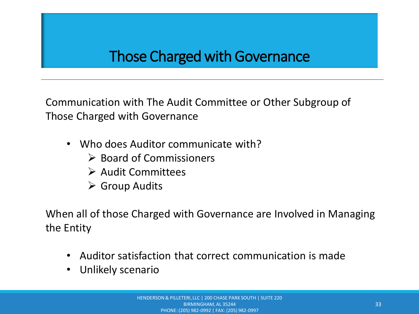#### Those Charged with Governance

Communication with The Audit Committee or Other Subgroup of Those Charged with Governance

- Who does Auditor communicate with?
	- ➢ Board of Commissioners
	- ➢ Audit Committees
	- ➢ Group Audits

When all of those Charged with Governance are Involved in Managing the Entity

- Auditor satisfaction that correct communication is made
- Unlikely scenario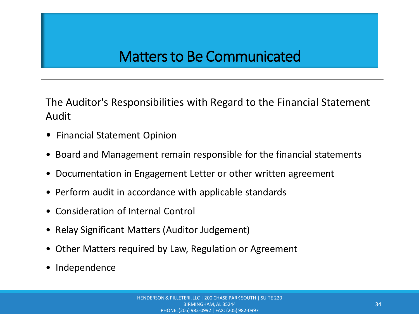#### Matters to Be Communicated

The Auditor's Responsibilities with Regard to the Financial Statement Audit

- Financial Statement Opinion
- Board and Management remain responsible for the financial statements
- Documentation in Engagement Letter or other written agreement
- Perform audit in accordance with applicable standards
- Consideration of Internal Control
- Relay Significant Matters (Auditor Judgement)
- Other Matters required by Law, Regulation or Agreement
- Independence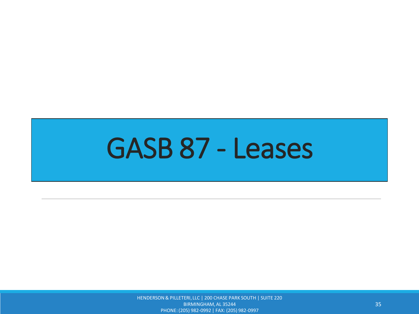## GASB 87 - Leases

HENDERSON & PILLETERI, LLC | 200 CHASE PARK SOUTH | SUITE 220 BIRMINGHAM, AL 35244 PHONE: (205) 982-0992 | FAX: (205) 982-0997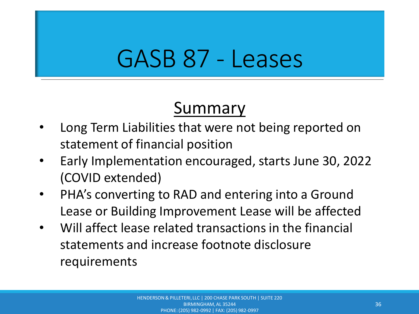## GASB 87 - Leases

#### Summary

- Long Term Liabilities that were not being reported on statement of financial position
- Early Implementation encouraged, starts June 30, 2022 (COVID extended)
- PHA's converting to RAD and entering into a Ground Lease or Building Improvement Lease will be affected
- Will affect lease related transactions in the financial statements and increase footnote disclosure requirements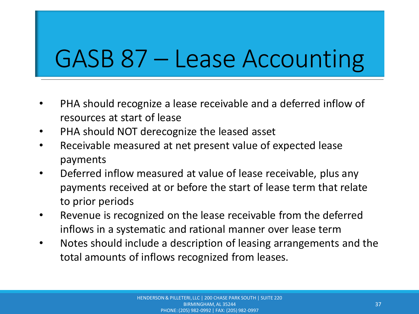## GASB 87 – Lease Accounting

- PHA should recognize a lease receivable and a deferred inflow of resources at start of lease
- PHA should NOT derecognize the leased asset
- Receivable measured at net present value of expected lease payments
- Deferred inflow measured at value of lease receivable, plus any payments received at or before the start of lease term that relate to prior periods
- Revenue is recognized on the lease receivable from the deferred inflows in a systematic and rational manner over lease term
- Notes should include a description of leasing arrangements and the total amounts of inflows recognized from leases.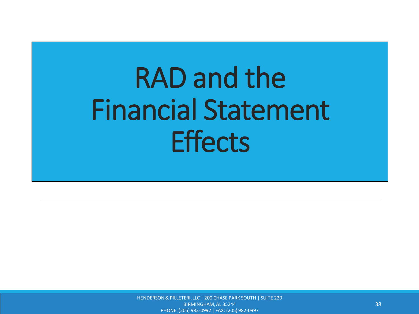HENDERSON & PILLETERI, LLC | 200 CHASE PARK SOUTH | SUITE 220 BIRMINGHAM, AL 35244 PHONE: (205) 982-0992 | FAX: (205) 982-0997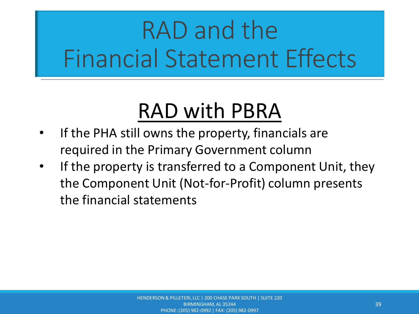### RAD with PBRA

- If the PHA still owns the property, financials are required in the Primary Government column
- If the property is transferred to a Component Unit, they the Component Unit (Not-for-Profit) column presents the financial statements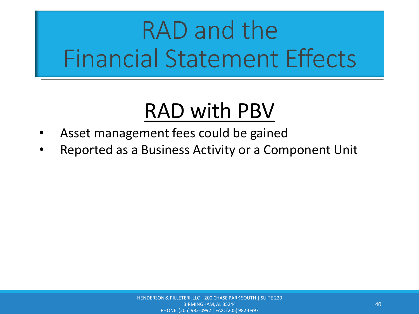### RAD with PBV

- Asset management fees could be gained
- Reported as a Business Activity or a Component Unit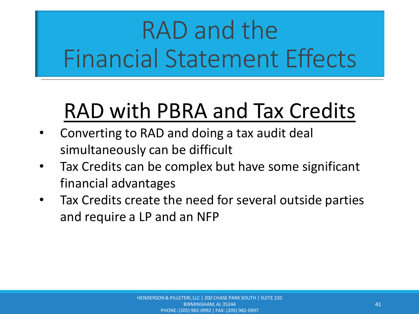### RAD with PBRA and Tax Credits

- Converting to RAD and doing a tax audit deal simultaneously can be difficult
- Tax Credits can be complex but have some significant financial advantages
- Tax Credits create the need for several outside parties and require a LP and an NFP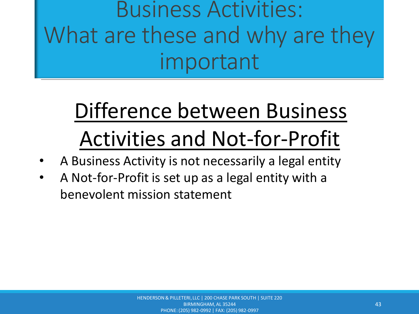## Difference between Business Activities and Not-for-Profit

- A Business Activity is not necessarily a legal entity
- A Not-for-Profit is set up as a legal entity with a benevolent mission statement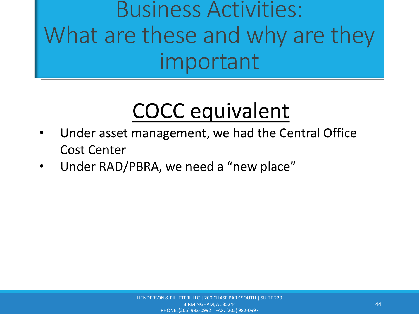## COCC equivalent

- Under asset management, we had the Central Office Cost Center
- Under RAD/PBRA, we need a "new place"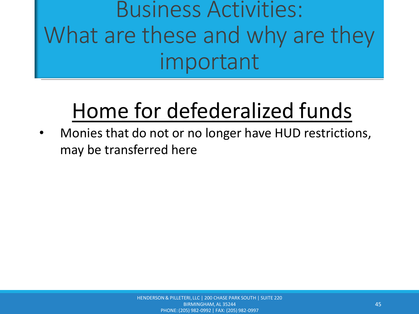## Home for defederalized funds

• Monies that do not or no longer have HUD restrictions, may be transferred here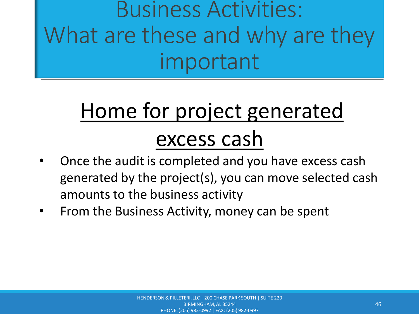## Home for project generated excess cash

- Once the audit is completed and you have excess cash generated by the project(s), you can move selected cash amounts to the business activity
- From the Business Activity, money can be spent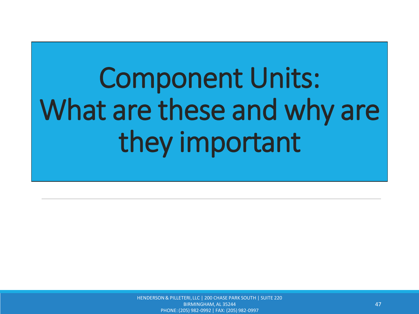HENDERSON & PILLETERI, LLC | 200 CHASE PARK SOUTH | SUITE 220 BIRMINGHAM, AL 35244 PHONE: (205) 982-0992 | FAX: (205) 982-0997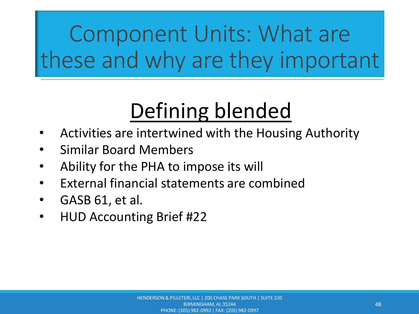### Defining blended

- Activities are intertwined with the Housing Authority
- Similar Board Members
- Ability for the PHA to impose its will
- External financial statements are combined
- GASB 61, et al.
- HUD Accounting Brief #22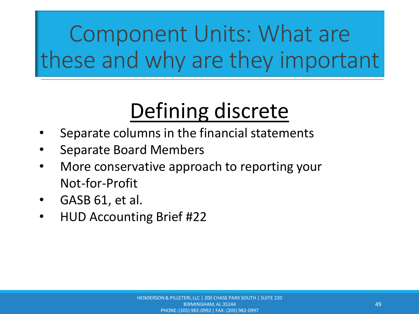### Defining discrete

- Separate columns in the financial statements
- Separate Board Members
- More conservative approach to reporting your Not-for-Profit
- GASB 61, et al.
- HUD Accounting Brief #22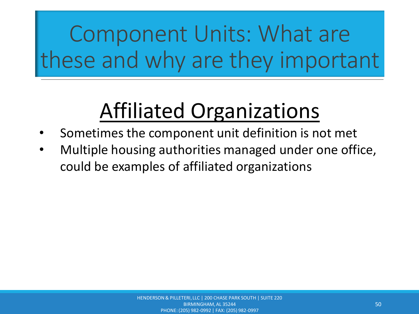### Affiliated Organizations

- Sometimes the component unit definition is not met
- Multiple housing authorities managed under one office, could be examples of affiliated organizations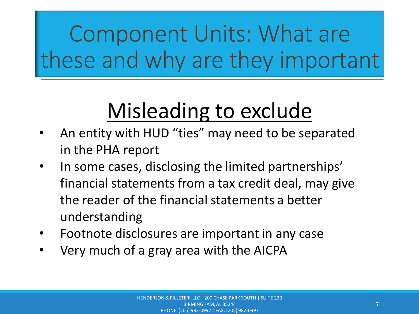### Misleading to exclude

- An entity with HUD "ties" may need to be separated in the PHA report
- In some cases, disclosing the limited partnerships' financial statements from a tax credit deal, may give the reader of the financial statements a better understanding
- Footnote disclosures are important in any case
- Very much of a gray area with the AICPA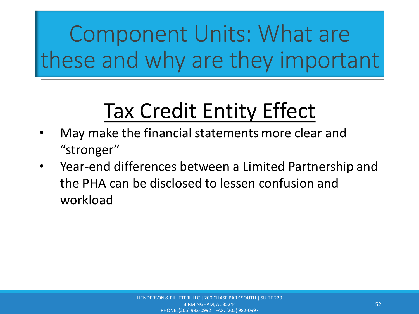## Tax Credit Entity Effect

- May make the financial statements more clear and "stronger"
- Year-end differences between a Limited Partnership and the PHA can be disclosed to lessen confusion and workload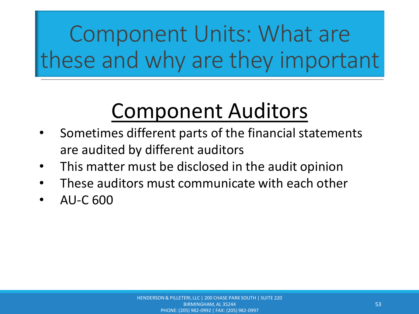### Component Auditors

- Sometimes different parts of the financial statements are audited by different auditors
- This matter must be disclosed in the audit opinion
- These auditors must communicate with each other
- AU-C 600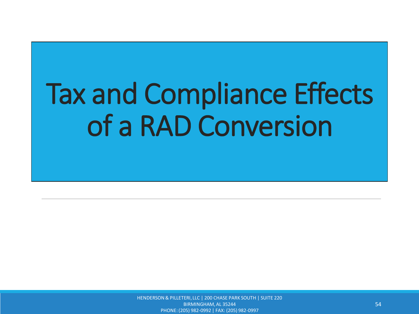HENDERSON & PILLETERI, LLC | 200 CHASE PARK SOUTH | SUITE 220 BIRMINGHAM, AL 35244 PHONE: (205) 982-0992 | FAX: (205) 982-0997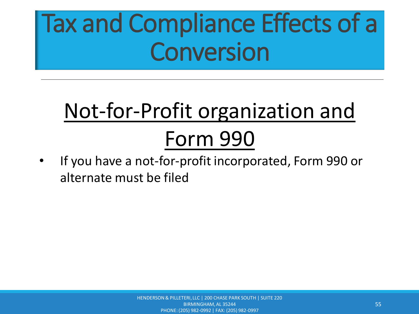## Not-for-Profit organization and Form 990

• If you have a not-for-profit incorporated, Form 990 or alternate must be filed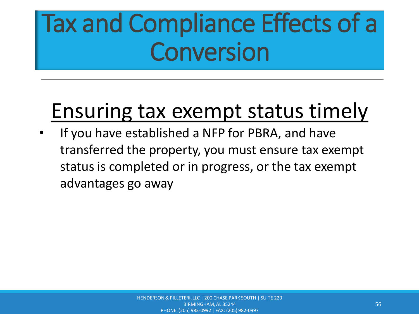#### Ensuring tax exempt status timely

If you have established a NFP for PBRA, and have transferred the property, you must ensure tax exempt status is completed or in progress, or the tax exempt advantages go away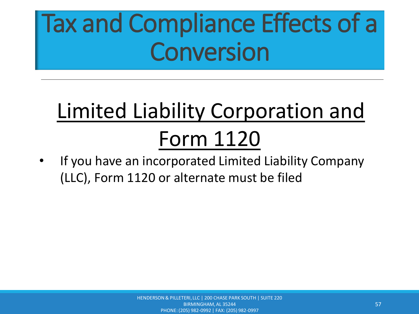## Limited Liability Corporation and Form 1120

If you have an incorporated Limited Liability Company (LLC), Form 1120 or alternate must be filed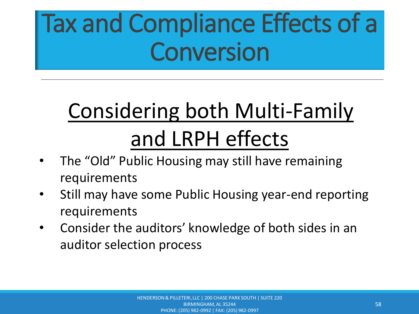## Considering both Multi-Family and LRPH effects

- The "Old" Public Housing may still have remaining requirements
- Still may have some Public Housing year-end reporting requirements
- Consider the auditors' knowledge of both sides in an auditor selection process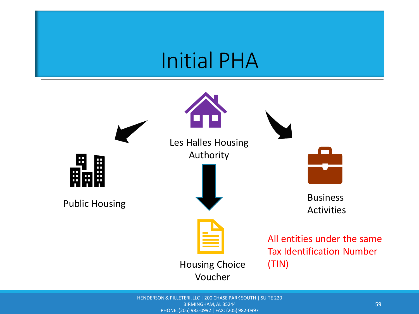#### Initial PHA



HENDERSON & PILLETERI, LLC | 200 CHASE PARK SOUTH | SUITE 220 BIRMINGHAM, AL 35244 PHONE: (205) 982-0992 | FAX: (205) 982-0997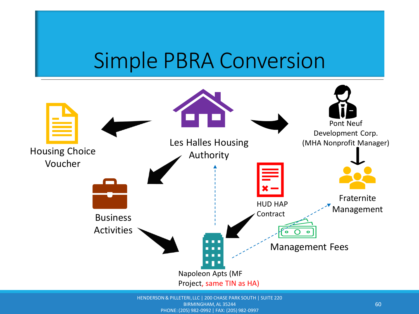#### Simple PBRA Conversion



BIRMINGHAM, AL 35244

PHONE: (205) 982-0992 | FAX: (205) 982-0997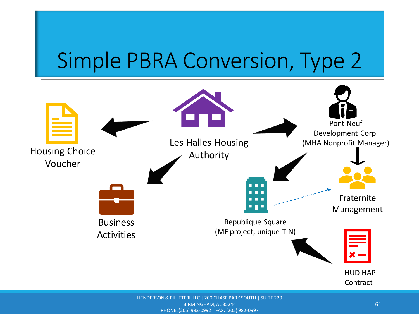### Simple PBRA Conversion, Type 2

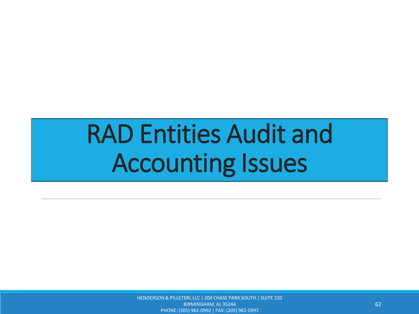## RAD Entities Audit and Accounting Issues

HENDERSON & PILLETERI, LLC | 200 CHASE PARK SOUTH | SUITE 220 BIRMINGHAM, AL 35244 PHONE: (205) 982-0992 | FAX: (205) 982-0997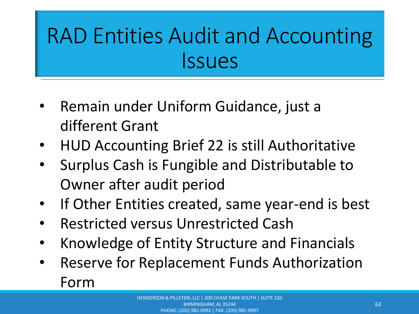## RAD Entities Audit and Accounting Issues

- Remain under Uniform Guidance, just a different Grant
- HUD Accounting Brief 22 is still Authoritative
- Surplus Cash is Fungible and Distributable to Owner after audit period
- If Other Entities created, same year-end is best
- Restricted versus Unrestricted Cash
- Knowledge of Entity Structure and Financials
- Reserve for Replacement Funds Authorization Form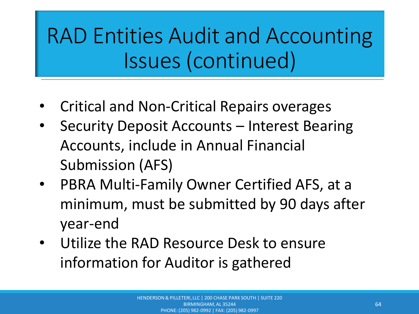### RAD Entities Audit and Accounting Issues (continued)

- Critical and Non-Critical Repairs overages
- Security Deposit Accounts Interest Bearing Accounts, include in Annual Financial Submission (AFS)
- PBRA Multi-Family Owner Certified AFS, at a minimum, must be submitted by 90 days after year-end
- Utilize the RAD Resource Desk to ensure information for Auditor is gathered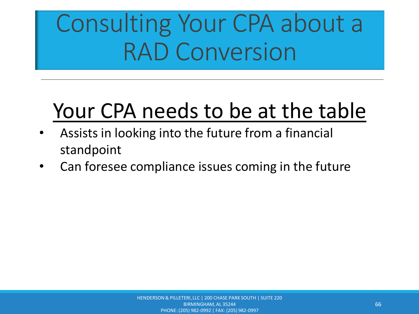### Your CPA needs to be at the table

- Assists in looking into the future from a financial standpoint
- Can foresee compliance issues coming in the future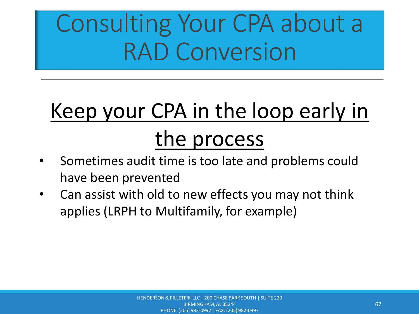### Keep your CPA in the loop early in the process

- Sometimes audit time is too late and problems could have been prevented
- Can assist with old to new effects you may not think applies (LRPH to Multifamily, for example)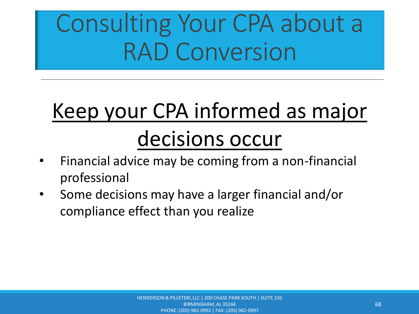## Keep your CPA informed as major

### decisions occur

- Financial advice may be coming from a non-financial professional
- Some decisions may have a larger financial and/or compliance effect than you realize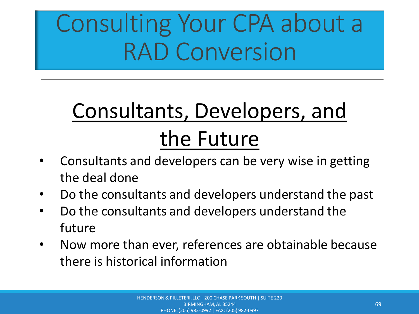## Consultants, Developers, and the Future

- Consultants and developers can be very wise in getting the deal done
- Do the consultants and developers understand the past
- Do the consultants and developers understand the future
- Now more than ever, references are obtainable because there is historical information